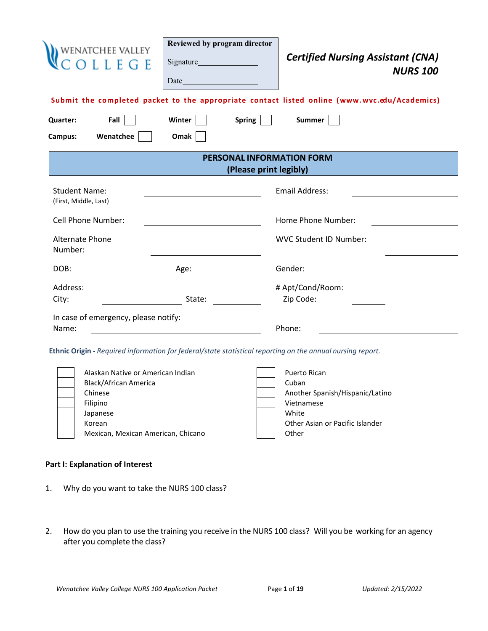| WENATCHEE VALLEY<br>C O L L E G E                                                                          | Reviewed by program director<br>$Date$ $\qquad \qquad$                                          |                        | <b>Certified Nursing Assistant (CNA)</b><br><b>NURS 100</b>                                  |
|------------------------------------------------------------------------------------------------------------|-------------------------------------------------------------------------------------------------|------------------------|----------------------------------------------------------------------------------------------|
|                                                                                                            |                                                                                                 |                        | Submit the completed packet to the appropriate contact listed online (www.wvc.edu/Academics) |
| Fall<br><b>Quarter:</b>                                                                                    | Winter                                                                                          | Spring                 | Summer                                                                                       |
| Wenatchee<br>Campus:                                                                                       | Omak                                                                                            |                        |                                                                                              |
|                                                                                                            |                                                                                                 | (Please print legibly) | <b>PERSONAL INFORMATION FORM</b>                                                             |
| <b>Student Name:</b><br>(First, Middle, Last)                                                              |                                                                                                 |                        | <b>Email Address:</b>                                                                        |
| <b>Cell Phone Number:</b>                                                                                  |                                                                                                 |                        | Home Phone Number:                                                                           |
| <b>Alternate Phone</b><br>Number:                                                                          |                                                                                                 |                        | <b>WVC Student ID Number:</b>                                                                |
| DOB:                                                                                                       | Age:                                                                                            |                        | Gender:                                                                                      |
| Address:<br>City:                                                                                          | State:                                                                                          |                        | # Apt/Cond/Room:<br>Zip Code:                                                                |
| In case of emergency, please notify:<br>Name:                                                              | <u> 1989 - John Stein, Amerikaansk kanton en beskriuwer om de foarmen in de foarmen werken.</u> |                        | Phone:                                                                                       |
| Ethnic Origin - Required information for federal/state statistical reporting on the annual nursing report. |                                                                                                 |                        |                                                                                              |
| Alaskan Native or American Indian<br>Black/African America<br>Chinese                                      |                                                                                                 |                        | Puerto Rican<br>Cuban<br>Another Spanish/Hispanic/Latino                                     |

Korean **Communist Communist Communist Communist Communist Communist Communist Communist Communist Communist Communist Communist Communist Communist Communist Communist Communist Communist Communist Communist Communist Comm** Mexican, Mexican American, Chicano **Canadian American** Americano

# Filipino Vietnamese Japanese White White

## **Part I: Explanation of Interest**

- 1. Why do you want to take the NURS 100 class?
- 2. How do you plan to use the training you receive in the NURS 100 class? Will you be working for an agency after you complete the class?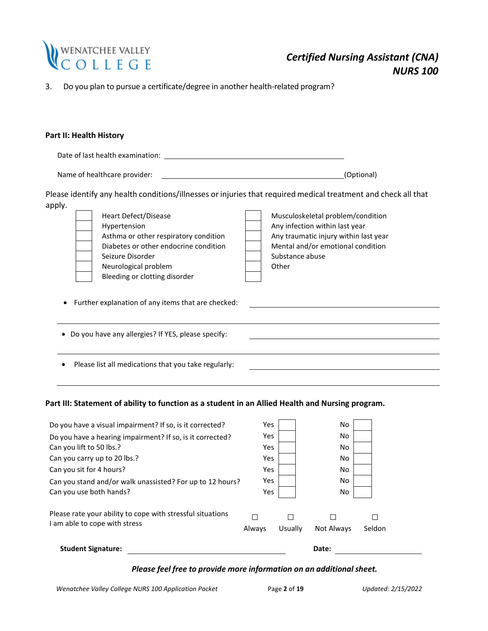

3. Do you plan to pursue a certificate/degree in another health-related program?

## **Part II: Health History**

| Date of last health examination: |                                                                                                                                            |                                                                                                                                                                                                                                                                                        |
|----------------------------------|--------------------------------------------------------------------------------------------------------------------------------------------|----------------------------------------------------------------------------------------------------------------------------------------------------------------------------------------------------------------------------------------------------------------------------------------|
| Name of healthcare provider:     |                                                                                                                                            | (Optional)                                                                                                                                                                                                                                                                             |
| apply.                           | Heart Defect/Disease<br>Hypertension<br>Asthma or other respiratory condition<br>Diabetes or other endocrine condition<br>Seizure Disorder | Please identify any health conditions/illnesses or injuries that required medical treatment and check all that<br>Musculoskeletal problem/condition<br>Any infection within last year<br>Any traumatic injury within last year<br>Mental and/or emotional condition<br>Substance abuse |
|                                  | Neurological problem<br>Bleeding or clotting disorder                                                                                      | Other                                                                                                                                                                                                                                                                                  |

- Further explanation of any items that are checked:
- Do you have any allergies? If YES, please specify:
- Please list all medications that you take regularly:

## **Part III: Statement of ability to function as a student in an Allied Health and Nursing program.**

| <b>Student Signature:</b>                                                                   |            |         | Date:      |             |
|---------------------------------------------------------------------------------------------|------------|---------|------------|-------------|
| Please rate your ability to cope with stressful situations<br>I am able to cope with stress | Always     | Usually | Not Always | П<br>Seldon |
| Can you use both hands?                                                                     | Yes        |         | No         |             |
| Can you stand and/or walk unassisted? For up to 12 hours?                                   | Yes.       |         | No         |             |
| Can you sit for 4 hours?                                                                    | <b>Yes</b> |         | No         |             |
| Can you carry up to 20 lbs.?                                                                | <b>Yes</b> |         | No         |             |
| Can you lift to 50 lbs.?                                                                    | Yes.       |         | No         |             |
| Do you have a hearing impairment? If so, is it corrected?                                   | <b>Yes</b> |         | No         |             |
| Do you have a visual impairment? If so, is it corrected?                                    | <b>Yes</b> |         | No         |             |

## *Please feel free to provide more information on an additional sheet.*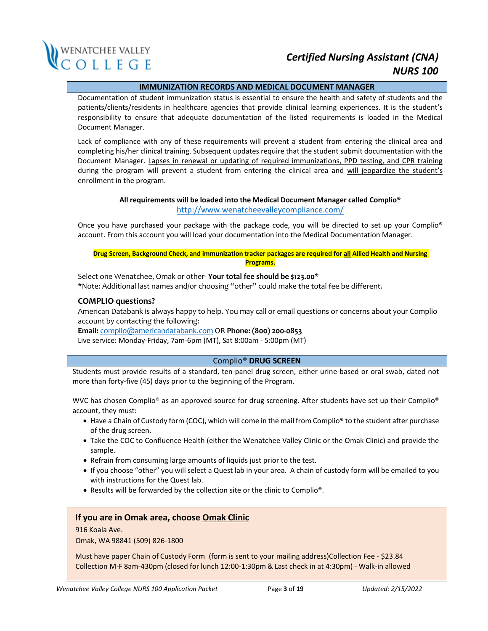

## **IMMUNIZATION RECORDS AND MEDICAL DOCUMENT MANAGER**

Documentation of student immunization status is essential to ensure the health and safety of students and the patients/clients/residents in healthcare agencies that provide clinical learning experiences. It is the student's responsibility to ensure that adequate documentation of the listed requirements is loaded in the Medical Document Manager.

Lack of compliance with any of these requirements will prevent a student from entering the clinical area and completing his/her clinical training. Subsequent updates require that the student submit documentation with the Document Manager. Lapses in renewal or updating of required immunizations, PPD testing, and CPR training during the program will prevent a student from entering the clinical area and will jeopardize the student's enrollment in the program.

## **All requirements will be loaded into the Medical Document Manager called Complio®** <http://www.wenatcheevalleycompliance.com/>

Once you have purchased your package with the package code, you will be directed to set up your Complio<sup>®</sup> account. From this account you will load your documentation into the Medical Documentation Manager.

**Drug Screen, Background Check, and immunization tracker packages are required for all Allied Health and Nursing Programs.**

Select one Wenatchee, Omak or other- **Your total fee should be \$123.00\*** \*Note: Additional last names and/or choosing "other" could make the total fee be different.

#### **COMPLIO questions?**

American Databank is always happy to help. You may call or email questions or concerns about your Complio account by contacting the following:

**Email:** [complio@americandatabank.com](mailto:complio@americandatabank.com) OR **Phone: (800) 200-0853** Live service: Monday-Friday, 7am-6pm (MT), Sat 8:00am - 5:00pm (MT)

#### Complio® **DRUG SCREEN**

Students must provide results of a standard, ten-panel drug screen, either urine-based or oral swab, dated not more than forty-five (45) days prior to the beginning of the Program.

WVC has chosen Complio® as an approved source for drug screening. After students have set up their Complio® account, they must:

- Have a Chain of Custody form (COC), which will come in the mail from Complio® to the student after purchase of the drug screen.
- Take the COC to Confluence Health (either the Wenatchee Valley Clinic or the Omak Clinic) and provide the sample.
- Refrain from consuming large amounts of liquids just prior to the test.
- If you choose "other" you will select a Quest lab in your area. A chain of custody form will be emailed to you with instructions for the Quest lab.
- Results will be forwarded by the collection site or the clinic to Complio®.

### **If you are in Omak area, choose Omak Clinic**

#### 916 Koala Ave.

Omak, WA 98841 (509) 826-1800

Must have paper Chain of Custody Form (form is sent to your mailing address)Collection Fee - \$23.84 Collection M-F 8am-430pm (closed for lunch 12:00-1:30pm & Last check in at 4:30pm) - Walk-in allowed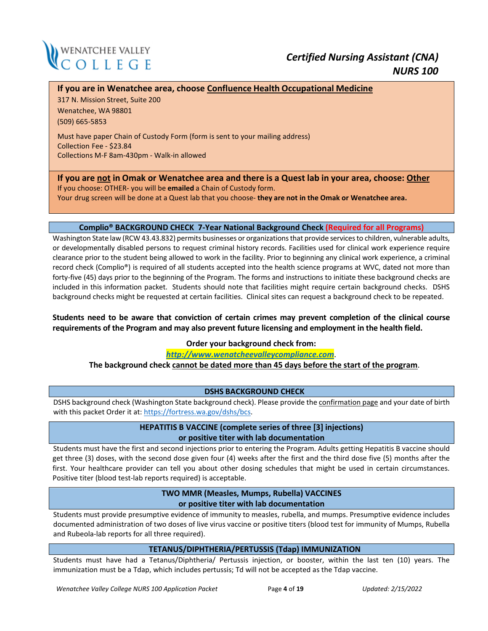

## **If you are in Wenatchee area, choose Confluence Health Occupational Medicine**

317 N. Mission Street, Suite 200 Wenatchee, WA 98801 (509) 665-5853

Must have paper Chain of Custody Form (form is sent to your mailing address) Collection Fee - \$23.84 Collections M-F 8am-430pm - Walk-in allowed

**If you are not in Omak or Wenatchee area and there is a Quest lab in your area, choose: Other** If you choose: OTHER- you will be **emailed** a Chain of Custody form.

Your drug screen will be done at a Quest lab that you choose- **they are not in the Omak or Wenatchee area.**

#### **Complio® BACKGROUND CHECK 7-Year National Background Check (Required for all Programs)**

Washington State law (RCW 43.43.832) permits businesses or organizations that provide services to children, vulnerable adults, or developmentally disabled persons to request criminal history records. Facilities used for clinical work experience require clearance prior to the student being allowed to work in the facility. Prior to beginning any clinical work experience, a criminal record check (Complio®) is required of all students accepted into the health science programs at WVC, dated not more than forty-five (45) days prior to the beginning of the Program. The forms and instructions to initiate these background checks are included in this information packet. Students should note that facilities might require certain background checks. DSHS background checks might be requested at certain facilities. Clinical sites can request a background check to be repeated.

**Students need to be aware that conviction of certain crimes may prevent completion of the clinical course requirements of the Program and may also prevent future licensing and employment in the health field.** 

**Order your background check from:**

*[http://www.wenatcheevalleycompliance.com](http://www.wenatcheevalleycompliance.com/)*.

**The background check cannot be dated more than 45 days before the start of the program**.

### **DSHS BACKGROUND CHECK**

DSHS background check (Washington State background check). Please provide the confirmation page and your date of birth with this packet Order it at[: https://fortress.wa.gov/dshs/bcs.](https://nam10.safelinks.protection.outlook.com/?url=https%3A%2F%2Ffortress.wa.gov%2Fdshs%2Fbcs&data=04%7C01%7Cslagrou%40wvc.edu%7C276f53541c274eb0d35b08d87aa6d99f%7Cfe590da28322492da44c32a1d698a506%7C0%7C0%7C637394204338891435%7CUnknown%7CTWFpbGZsb3d8eyJWIjoiMC4wLjAwMDAiLCJQIjoiV2luMzIiLCJBTiI6Ik1haWwiLCJXVCI6Mn0%3D%7C1000&sdata=GVziB8G4dISfuwaFrMeqaCzJYJcnOp5wRB%2BT1rKxf3E%3D&reserved=0)

## **HEPATITIS B VACCINE (complete series of three [3] injections) or positive titer with lab documentation**

Students must have the first and second injections prior to entering the Program. Adults getting Hepatitis B vaccine should get three (3) doses, with the second dose given four (4) weeks after the first and the third dose five (5) months after the first. Your healthcare provider can tell you about other dosing schedules that might be used in certain circumstances. Positive titer (blood test-lab reports required) is acceptable.

## **TWO MMR (Measles, Mumps, Rubella) VACCINES or positive titer with lab documentation**

Students must provide presumptive evidence of immunity to measles, rubella, and mumps. Presumptive evidence includes documented administration of two doses of live virus vaccine or positive titers (blood test for immunity of Mumps, Rubella and Rubeola-lab reports for all three required).

### **TETANUS/DIPHTHERIA/PERTUSSIS (Tdap) IMMUNIZATION**

Students must have had a Tetanus/Diphtheria/ Pertussis injection, or booster, within the last ten (10) years. The immunization must be a Tdap, which includes pertussis; Td will not be accepted as the Tdap vaccine.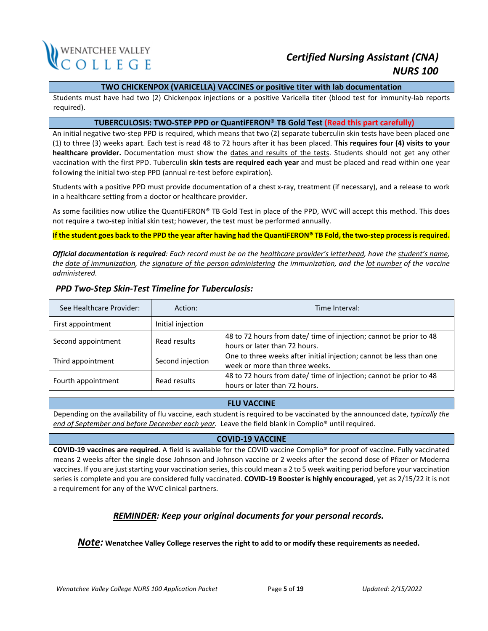

### **TWO CHICKENPOX (VARICELLA) VACCINES or positive titer with lab documentation**

Students must have had two (2) Chickenpox injections or a positive Varicella titer (blood test for immunity-lab reports required).

#### **TUBERCULOSIS: TWO-STEP PPD or QuantiFERON® TB Gold Test (Read this part carefully)**

An initial negative two-step PPD is required, which means that two (2) separate tuberculin skin tests have been placed one (1) to three (3) weeks apart. Each test is read 48 to 72 hours after it has been placed. **This requires four (4) visits to your healthcare provider.** Documentation must show the dates and results of the tests. Students should not get any other vaccination with the first PPD. Tuberculin **skin tests are required each year** and must be placed and read within one year following the initial two-step PPD (annual re-test before expiration).

Students with a positive PPD must provide documentation of a chest x-ray, treatment (if necessary), and a release to work in a healthcare setting from a doctor or healthcare provider.

As some facilities now utilize the QuantiFERON® TB Gold Test in place of the PPD, WVC will accept this method. This does not require a two-step initial skin test; however, the test must be performed annually.

**If the student goes back to the PPD the year after having had the QuantiFERON® TB Fold, the two-step process is required.**

*Official documentation is required: Each record must be on the healthcare provider's letterhead, have the student's name,* the date of immunization, the signature of the person administering the immunization, and the lot number of the vaccine *administered.*

| See Healthcare Provider:           | Action:           | Time Interval:                                                                                        |
|------------------------------------|-------------------|-------------------------------------------------------------------------------------------------------|
| First appointment                  | Initial injection |                                                                                                       |
| Second appointment                 | Read results      | 48 to 72 hours from date/ time of injection; cannot be prior to 48<br>hours or later than 72 hours.   |
| Third appointment                  | Second injection  | One to three weeks after initial injection; cannot be less than one<br>week or more than three weeks. |
| Fourth appointment<br>Read results |                   | 48 to 72 hours from date/ time of injection; cannot be prior to 48<br>hours or later than 72 hours.   |

## *PPD Two-Step Skin-Test Timeline for Tuberculosis:*

### **FLU VACCINE**

Depending on the availability of flu vaccine, each student is required to be vaccinated by the announced date, *typically the end of September and before December each year*. Leave the field blank in Complio® until required.

### **COVID-19 VACCINE**

**COVID-19 vaccines are required**. A field is available for the COVID vaccine Complio® for proof of vaccine. Fully vaccinated means 2 weeks after the single dose Johnson and Johnson vaccine or 2 weeks after the second dose of Pfizer or Moderna vaccines. If you are just starting your vaccination series, this could mean a 2 to 5 week waiting period before your vaccination series is complete and you are considered fully vaccinated. **COVID-19 Booster is highly encouraged**, yet as 2/15/22 it is not a requirement for any of the WVC clinical partners.

## *REMINDER: Keep your original documents for your personal records.*

*Note:* **Wenatchee Valley College reservesthe right to add to or modify these requirements as needed.**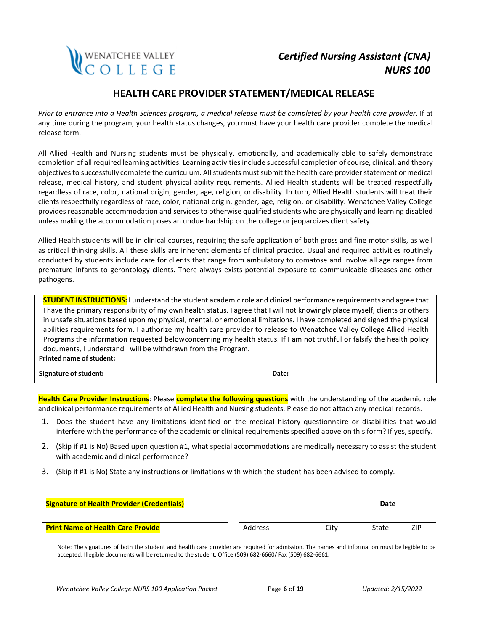

## **HEALTH CARE PROVIDER STATEMENT/MEDICAL RELEASE**

*Prior to entrance into a Health Sciences program, a medical release must be completed by your health care provider*. If at any time during the program, your health status changes, you must have your health care provider complete the medical release form.

All Allied Health and Nursing students must be physically, emotionally, and academically able to safely demonstrate completion of all required learning activities. Learning activities include successful completion of course, clinical, and theory objectives to successfully complete the curriculum. All students must submit the health care provider statement or medical release, medical history, and student physical ability requirements. Allied Health students will be treated respectfully regardless of race, color, national origin, gender, age, religion, or disability. In turn, Allied Health students will treat their clients respectfully regardless of race, color, national origin, gender, age, religion, or disability. Wenatchee Valley College provides reasonable accommodation and services to otherwise qualified students who are physically and learning disabled unless making the accommodation poses an undue hardship on the college or jeopardizes client safety.

Allied Health students will be in clinical courses, requiring the safe application of both gross and fine motor skills, as well as critical thinking skills. All these skills are inherent elements of clinical practice. Usual and required activities routinely conducted by students include care for clients that range from ambulatory to comatose and involve all age ranges from premature infants to gerontology clients. There always exists potential exposure to communicable diseases and other pathogens.

**STUDENT INSTRUCTIONS:** I understand the student academic role and clinical performance requirements and agree that I have the primary responsibility of my own health status. I agree that I will not knowingly place myself, clients or others in unsafe situations based upon my physical, mental, or emotional limitations. I have completed and signed the physical abilities requirements form. I authorize my health care provider to release to Wenatchee Valley College Allied Health Programs the information requested belowconcerning my health status. If I am not truthful or falsify the health policy documents, I understand I will be withdrawn from the Program.

| <b>Printed name of student:</b> |       |
|---------------------------------|-------|
| <b>Signature of student:</b>    | Date: |

**Health Care Provider Instructions**: Please **complete the following questions** with the understanding of the academic role and clinical performance requirements of Allied Health and Nursing students. Please do not attach any medical records.

- 1. Does the student have any limitations identified on the medical history questionnaire or disabilities that would interfere with the performance of the academic or clinical requirements specified above on this form? If yes, specify.
- 2. (Skip if #1 is No) Based upon question #1, what special accommodations are medically necessary to assist the student with academic and clinical performance?
- 3. (Skip if #1 is No) State any instructions or limitations with which the student has been advised to comply.

| <b>Signature of Health Provider (Credentials)</b> |                |      | Date  |            |
|---------------------------------------------------|----------------|------|-------|------------|
| <b>Print Name of Health Care Provide</b>          | <b>Address</b> | City | State | <b>ZIP</b> |

Note: The signatures of both the student and health care provider are required for admission. The names and information must be legible to be accepted. Illegible documents will be returned to the student. Office (509) 682-6660/ Fax (509) 682-6661.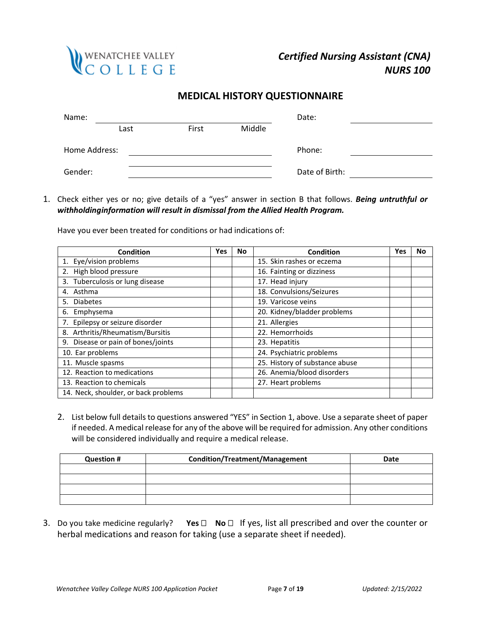

## **MEDICAL HISTORY QUESTIONNAIRE**

| Name:         |      |       |        | Date:          |  |
|---------------|------|-------|--------|----------------|--|
|               | Last | First | Middle |                |  |
| Home Address: |      |       |        | Phone:         |  |
| Gender:       |      |       |        | Date of Birth: |  |

1. Check either yes or no; give details of a "yes" answer in section B that follows. *Being untruthful or withholdinginformation will result in dismissal from the Allied Health Program.*

Have you ever been treated for conditions or had indications of:

| <b>Condition</b>                     | Yes | No | <b>Condition</b>               | Yes | No |
|--------------------------------------|-----|----|--------------------------------|-----|----|
| 1. Eye/vision problems               |     |    | 15. Skin rashes or eczema      |     |    |
| 2. High blood pressure               |     |    | 16. Fainting or dizziness      |     |    |
| 3. Tuberculosis or lung disease      |     |    | 17. Head injury                |     |    |
| 4. Asthma                            |     |    | 18. Convulsions/Seizures       |     |    |
| <b>Diabetes</b><br>5.                |     |    | 19. Varicose veins             |     |    |
| 6. Emphysema                         |     |    | 20. Kidney/bladder problems    |     |    |
| 7. Epilepsy or seizure disorder      |     |    | 21. Allergies                  |     |    |
| 8. Arthritis/Rheumatism/Bursitis     |     |    | 22. Hemorrhoids                |     |    |
| 9. Disease or pain of bones/joints   |     |    | 23. Hepatitis                  |     |    |
| 10. Ear problems                     |     |    | 24. Psychiatric problems       |     |    |
| 11. Muscle spasms                    |     |    | 25. History of substance abuse |     |    |
| 12. Reaction to medications          |     |    | 26. Anemia/blood disorders     |     |    |
| 13. Reaction to chemicals            |     |    | 27. Heart problems             |     |    |
| 14. Neck, shoulder, or back problems |     |    |                                |     |    |

2. List below full details to questions answered "YES" in Section 1, above. Use a separate sheet of paper if needed. A medical release for any of the above will be required for admission. Any other conditions will be considered individually and require a medical release.

| <b>Question #</b> | <b>Condition/Treatment/Management</b> | <b>Date</b> |
|-------------------|---------------------------------------|-------------|
|                   |                                       |             |
|                   |                                       |             |
|                   |                                       |             |
|                   |                                       |             |

3. Do you take medicine regularly? **Yes No**  If yes, list all prescribed and over the counter or herbal medications and reason for taking (use a separate sheet if needed).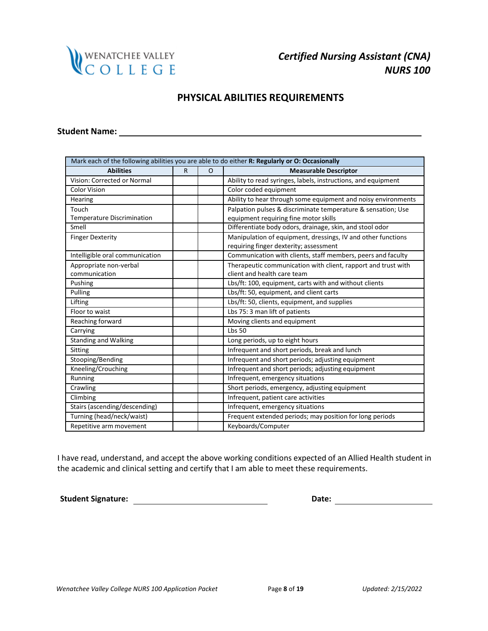

## **PHYSICAL ABILITIES REQUIREMENTS**

## **Student Name:**

| Mark each of the following abilities you are able to do either R: Regularly or O: Occasionally |   |         |                                                               |  |  |
|------------------------------------------------------------------------------------------------|---|---------|---------------------------------------------------------------|--|--|
| <b>Abilities</b>                                                                               | R | $\circ$ | <b>Measurable Descriptor</b>                                  |  |  |
| Vision: Corrected or Normal                                                                    |   |         | Ability to read syringes, labels, instructions, and equipment |  |  |
| <b>Color Vision</b>                                                                            |   |         | Color coded equipment                                         |  |  |
| Hearing                                                                                        |   |         | Ability to hear through some equipment and noisy environments |  |  |
| Touch                                                                                          |   |         | Palpation pulses & discriminate temperature & sensation; Use  |  |  |
| <b>Temperature Discrimination</b>                                                              |   |         | equipment requiring fine motor skills                         |  |  |
| Smell                                                                                          |   |         | Differentiate body odors, drainage, skin, and stool odor      |  |  |
| <b>Finger Dexterity</b>                                                                        |   |         | Manipulation of equipment, dressings, IV and other functions  |  |  |
|                                                                                                |   |         | requiring finger dexterity; assessment                        |  |  |
| Intelligible oral communication                                                                |   |         | Communication with clients, staff members, peers and faculty  |  |  |
| Appropriate non-verbal                                                                         |   |         | Therapeutic communication with client, rapport and trust with |  |  |
| communication                                                                                  |   |         | client and health care team                                   |  |  |
| Pushing                                                                                        |   |         | Lbs/ft: 100, equipment, carts with and without clients        |  |  |
| Pulling                                                                                        |   |         | Lbs/ft: 50, equipment, and client carts                       |  |  |
| Lifting                                                                                        |   |         | Lbs/ft: 50, clients, equipment, and supplies                  |  |  |
| Floor to waist                                                                                 |   |         | Lbs 75: 3 man lift of patients                                |  |  |
| Reaching forward                                                                               |   |         | Moving clients and equipment                                  |  |  |
| Carrying                                                                                       |   |         | <b>Lbs 50</b>                                                 |  |  |
| <b>Standing and Walking</b>                                                                    |   |         | Long periods, up to eight hours                               |  |  |
| Sitting                                                                                        |   |         | Infrequent and short periods, break and lunch                 |  |  |
| Stooping/Bending                                                                               |   |         | Infrequent and short periods; adjusting equipment             |  |  |
| Kneeling/Crouching                                                                             |   |         | Infrequent and short periods; adjusting equipment             |  |  |
| Running                                                                                        |   |         | Infrequent, emergency situations                              |  |  |
| Crawling                                                                                       |   |         | Short periods, emergency, adjusting equipment                 |  |  |
| Climbing                                                                                       |   |         | Infrequent, patient care activities                           |  |  |
| Stairs (ascending/descending)                                                                  |   |         | Infrequent, emergency situations                              |  |  |
| Turning (head/neck/waist)                                                                      |   |         | Frequent extended periods; may position for long periods      |  |  |
| Repetitive arm movement                                                                        |   |         | Keyboards/Computer                                            |  |  |

I have read, understand, and accept the above working conditions expected of an Allied Health student in the academic and clinical setting and certify that I am able to meet these requirements.

**Student Signature: Date: Date: Date: Date: Date: Date: Date: Date: Date: Date: Date: Date: Date: Date: Date: Date: Date: Date: Date: Date: Date: Date: Date: Date: Date:**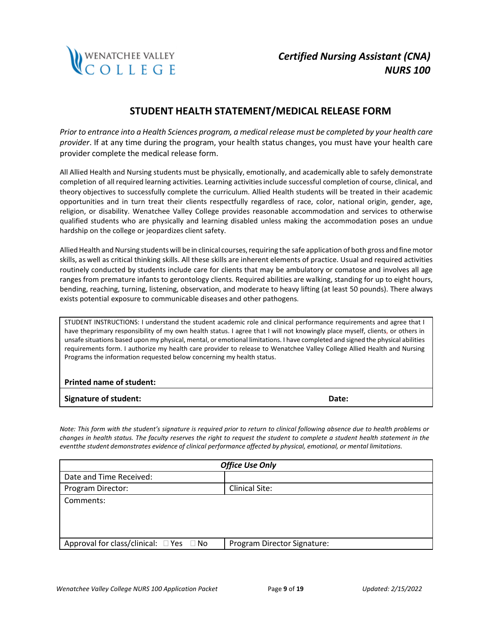

## **STUDENT HEALTH STATEMENT/MEDICAL RELEASE FORM**

*Prior to entrance into a Health Sciences program, a medical release must be completed by your health care provider*. If at any time during the program, your health status changes, you must have your health care provider complete the medical release form.

All Allied Health and Nursing students must be physically, emotionally, and academically able to safely demonstrate completion of all required learning activities. Learning activitiesinclude successful completion of course, clinical, and theory objectives to successfully complete the curriculum. Allied Health students will be treated in their academic opportunities and in turn treat their clients respectfully regardless of race, color, national origin, gender, age, religion, or disability. Wenatchee Valley College provides reasonable accommodation and services to otherwise qualified students who are physically and learning disabled unless making the accommodation poses an undue hardship on the college or jeopardizes client safety.

Allied Health and Nursing students will be in clinical courses, requiring the safe application of both gross and fine motor skills, as well as critical thinking skills. All these skills are inherent elements of practice. Usual and required activities routinely conducted by students include care for clients that may be ambulatory or comatose and involves all age ranges from premature infants to gerontology clients. Required abilities are walking, standing for up to eight hours, bending, reaching, turning, listening, observation, and moderate to heavy lifting (at least 50 pounds). There always exists potential exposure to communicable diseases and other pathogens.

STUDENT INSTRUCTIONS: I understand the student academic role and clinical performance requirements and agree that I have theprimary responsibility of my own health status. I agree that I will not knowingly place myself, clients, or others in unsafe situations based upon my physical, mental, or emotional limitations. I have completed and signed the physical abilities requirements form. I authorize my health care provider to release to Wenatchee Valley College Allied Health and Nursing Programs the information requested below concerning my health status.

### **Printed name of student:**

**Signature of student: Date:**

*Note: This form with the student's signature is required prior to return to clinical following absence due to health problems or changes in health status. The faculty reserves the right to request the student to complete a student health statement in the eventthe student demonstrates evidence of clinical performance affected by physical, emotional, or mental limitations.*

| <b>Office Use Only</b>                            |                             |  |  |  |
|---------------------------------------------------|-----------------------------|--|--|--|
| Date and Time Received:                           |                             |  |  |  |
| Program Director:                                 | Clinical Site:              |  |  |  |
| Comments:                                         |                             |  |  |  |
| Approval for class/clinical: $\Box$ Yes $\Box$ No | Program Director Signature: |  |  |  |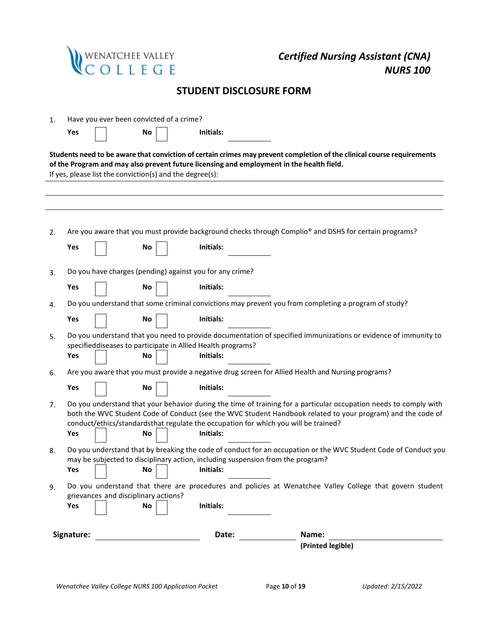|    |            | wenatchee valley<br>C O L L E G E                                                     |                                | <b>Certified Nursing Assistant (CNA)</b><br><b>NURS 100</b>                                                                                                                                                                                                                                                             |
|----|------------|---------------------------------------------------------------------------------------|--------------------------------|-------------------------------------------------------------------------------------------------------------------------------------------------------------------------------------------------------------------------------------------------------------------------------------------------------------------------|
|    |            |                                                                                       | <b>STUDENT DISCLOSURE FORM</b> |                                                                                                                                                                                                                                                                                                                         |
| 1. |            | Have you ever been convicted of a crime?                                              |                                |                                                                                                                                                                                                                                                                                                                         |
|    | Yes        | No                                                                                    | Initials:                      |                                                                                                                                                                                                                                                                                                                         |
|    |            | If yes, please list the conviction(s) and the degree(s):                              |                                | Students need to be aware that conviction of certain crimes may prevent completion of the clinical course requirements<br>of the Program and may also prevent future licensing and employment in the health field.                                                                                                      |
|    |            |                                                                                       |                                |                                                                                                                                                                                                                                                                                                                         |
| 2. |            |                                                                                       |                                | Are you aware that you must provide background checks through Complio <sup>®</sup> and DSHS for certain programs?                                                                                                                                                                                                       |
|    | Yes        | No                                                                                    | Initials:                      |                                                                                                                                                                                                                                                                                                                         |
| 3. |            | Do you have charges (pending) against you for any crime?                              |                                |                                                                                                                                                                                                                                                                                                                         |
|    | Yes        | No.                                                                                   | Initials:                      |                                                                                                                                                                                                                                                                                                                         |
| 4. | Yes        | No                                                                                    | Initials:                      | Do you understand that some criminal convictions may prevent you from completing a program of study?                                                                                                                                                                                                                    |
| 5. |            |                                                                                       |                                | Do you understand that you need to provide documentation of specified immunizations or evidence of immunity to                                                                                                                                                                                                          |
|    | Yes        | specifieddiseases to participate in Allied Health programs?<br>No                     | Initials:                      |                                                                                                                                                                                                                                                                                                                         |
| 6. |            |                                                                                       |                                | Are you aware that you must provide a negative drug screen for Allied Health and Nursing programs?                                                                                                                                                                                                                      |
|    | Yes        | No                                                                                    | Initials:                      |                                                                                                                                                                                                                                                                                                                         |
| 7. |            |                                                                                       |                                | Do you understand that your behavior during the time of training for a particular occupation needs to comply with<br>both the WVC Student Code of Conduct (see the WVC Student Handbook related to your program) and the code of<br>conduct/ethics/standardsthat regulate the occupation for which you will be trained? |
|    | Yes        | No                                                                                    | Initials:                      |                                                                                                                                                                                                                                                                                                                         |
| 8. | Yes        | may be subjected to disciplinary action, including suspension from the program?<br>No | Initials:                      | Do you understand that by breaking the code of conduct for an occupation or the WVC Student Code of Conduct you                                                                                                                                                                                                         |
| 9. |            | grievances and disciplinary actions?                                                  |                                | Do you understand that there are procedures and policies at Wenatchee Valley College that govern student                                                                                                                                                                                                                |
|    | Yes        | No                                                                                    | Initials:                      |                                                                                                                                                                                                                                                                                                                         |
|    | Signature: |                                                                                       | Date:                          | Name:<br>(Printed legible)                                                                                                                                                                                                                                                                                              |
|    |            |                                                                                       |                                |                                                                                                                                                                                                                                                                                                                         |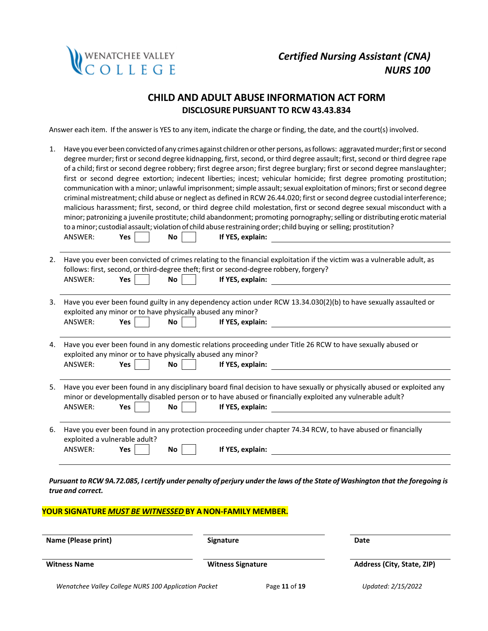

## **CHILD AND ADULT ABUSE INFORMATION ACT FORM DISCLOSURE PURSUANT TO RCW 43.43.834**

Answer each item. If the answer is YES to any item, indicate the charge or finding, the date, and the court(s) involved.

| 1. | Have you ever been convicted of any crimes against children or other persons, as follows: aggravated murder; first or second<br>degree murder; first or second degree kidnapping, first, second, or third degree assault; first, second or third degree rape<br>of a child; first or second degree robbery; first degree arson; first degree burglary; first or second degree manslaughter;<br>first or second degree extortion; indecent liberties; incest; vehicular homicide; first degree promoting prostitution;<br>communication with a minor; unlawful imprisonment; simple assault; sexual exploitation of minors; first or second degree<br>criminal mistreatment; child abuse or neglect as defined in RCW 26.44.020; first or second degree custodial interference;<br>malicious harassment; first, second, or third degree child molestation, first or second degree sexual misconduct with a<br>minor; patronizing a juvenile prostitute; child abandonment; promoting pornography; selling or distributing erotic material<br>to a minor; custodial assault; violation of child abuse restraining order; child buying or selling; prostitution?<br>If YES, explain:<br>ANSWER:<br><b>Yes</b><br><b>No</b> |
|----|-------------------------------------------------------------------------------------------------------------------------------------------------------------------------------------------------------------------------------------------------------------------------------------------------------------------------------------------------------------------------------------------------------------------------------------------------------------------------------------------------------------------------------------------------------------------------------------------------------------------------------------------------------------------------------------------------------------------------------------------------------------------------------------------------------------------------------------------------------------------------------------------------------------------------------------------------------------------------------------------------------------------------------------------------------------------------------------------------------------------------------------------------------------------------------------------------------------------------|
| 2. | Have you ever been convicted of crimes relating to the financial exploitation if the victim was a vulnerable adult, as<br>follows: first, second, or third-degree theft; first or second-degree robbery, forgery?<br>ANSWER:<br>No<br>If YES, explain:<br>Yes                                                                                                                                                                                                                                                                                                                                                                                                                                                                                                                                                                                                                                                                                                                                                                                                                                                                                                                                                           |
| 3. | Have you ever been found guilty in any dependency action under RCW 13.34.030(2)(b) to have sexually assaulted or<br>exploited any minor or to have physically abused any minor?<br>ANSWER:<br>Yes<br><b>No</b><br>If YES, explain:                                                                                                                                                                                                                                                                                                                                                                                                                                                                                                                                                                                                                                                                                                                                                                                                                                                                                                                                                                                      |
| 4. | Have you ever been found in any domestic relations proceeding under Title 26 RCW to have sexually abused or<br>exploited any minor or to have physically abused any minor?<br>ANSWER:<br>Yes<br>If YES, explain:<br><b>No</b>                                                                                                                                                                                                                                                                                                                                                                                                                                                                                                                                                                                                                                                                                                                                                                                                                                                                                                                                                                                           |
| 5. | Have you ever been found in any disciplinary board final decision to have sexually or physically abused or exploited any<br>minor or developmentally disabled person or to have abused or financially exploited any vulnerable adult?<br><b>No</b><br>If YES, explain:<br>ANSWER:<br><b>Yes</b>                                                                                                                                                                                                                                                                                                                                                                                                                                                                                                                                                                                                                                                                                                                                                                                                                                                                                                                         |
| 6. | Have you ever been found in any protection proceeding under chapter 74.34 RCW, to have abused or financially<br>exploited a vulnerable adult?<br>ANSWER:<br>If YES, explain:<br>Yes<br>No                                                                                                                                                                                                                                                                                                                                                                                                                                                                                                                                                                                                                                                                                                                                                                                                                                                                                                                                                                                                                               |

Pursuant to RCW 9A.72.085, I certify under penalty of perjury under the laws of the State of Washington that the foregoing is *true and correct.*

### **YOUR SIGNATURE** *MUST BE WITNESSED* **BY ANON-FAMILY MEMBER.**

| Name (Please print)                                  | <b>Signature</b><br><b>Witness Signature</b> |               | Date<br>Address (City, State, ZIP) |  |
|------------------------------------------------------|----------------------------------------------|---------------|------------------------------------|--|
| <b>Witness Name</b>                                  |                                              |               |                                    |  |
| Wenatchee Valley College NURS 100 Application Packet |                                              | Page 11 of 19 | Updated: 2/15/2022                 |  |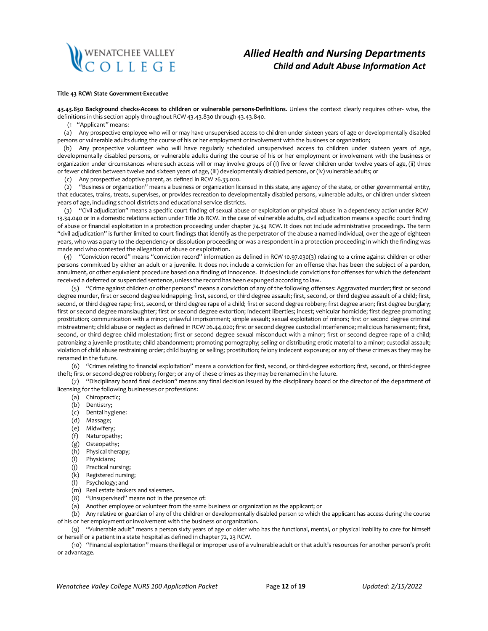# WENATCHEE VALLEY<br>C O L L E G E

## *Allied Health and Nursing Departments Child and Adult Abuse Information Act*

#### **Title 43 RCW: State Government-Executive**

**43.43.830 Background checks-Access to children or vulnerable persons-Definitions**. Unless the context clearly requires other- wise, the definitions in this section apply throughout RCW 43.43.830 through 43.43.840.

(1 "Applicant" means:

(a) Any prospective employee who will or may have unsupervised access to children under sixteen years of age or developmentally disabled persons or vulnerable adults during the course of his or her employment or involvement with the business or organization;

(b) Any prospective volunteer who will have regularly scheduled unsupervised access to children under sixteen years of age, developmentally disabled persons, or vulnerable adults during the course of his or her employment or involvement with the business or organization under circumstances where such access will or may involve groups of (I) five or fewer children under twelve years of age, (ii) three or fewer children between twelve and sixteen years of age, (iii) developmentally disabled persons, or (iv) vulnerable adults; or

(c) Any prospective adoptive parent, as defined in RCW 26.33.020.

(2) "Business or organization" means a business or organization licensed in this state, any agency of the state, or other governmental entity, that educates, trains, treats, supervises, or provides recreation to developmentally disabled persons, vulnerable adults, or children under sixteen years of age, including school districts and educational service districts.

(3) "Civil adjudication" means a specific court finding of sexual abuse or exploitation or physical abuse in a dependency action under RCW 13.34.040 or in a domestic relations action under Title 26 RCW. In the case of vulnerable adults, civil adjudication means a specific court finding of abuse or financial exploitation in a protection proceeding under chapter 74.34 RCW. It does not include administrative proceedings. The term "civil adjudication" is further limited to court findings that identify as the perpetrator of the abuse a named individual, over the age of eighteen years, who was a party to the dependency or dissolution proceeding or was a respondent in a protection proceeding in which the finding was made and who contested the allegation of abuse or exploitation.

(4) "Conviction record" means "conviction record" information as defined in RCW 10.97.030(3) relating to a crime against children or other persons committed by either an adult or a juvenile. It does not include a conviction for an offense that has been the subject of a pardon, annulment, or other equivalent procedure based on a finding of innocence. It does include convictions for offenses for which the defendant received a deferred or suspended sentence, unless the record has been expunged according to law.

(5) "Crime against children or other persons" means a conviction of any of the following offenses: Aggravated murder; first or second degree murder, first or second degree kidnapping; first, second, or third degree assault; first, second, or third degree assault of a child; first, second, or third degree rape; first, second, or third degree rape of a child; first or second degree robbery; first degree arson; first degree burglary; first or second degree manslaughter; first or second degree extortion; indecent liberties; incest; vehicular homicide; first degree promoting prostitution; communication with a minor; unlawful imprisonment; simple assault; sexual exploitation of minors; first or second degree criminal mistreatment; child abuse or neglect as defined in RCW 26.44.020; first or second degree custodial interference; malicious harassment; first, second, or third degree child molestation; first or second degree sexual misconduct with a minor; first or second degree rape of a child; patronizing a juvenile prostitute; child abandonment; promoting pornography; selling or distributing erotic material to a minor; custodial assault; violation of child abuse restraining order; child buying or selling; prostitution; felony indecent exposure; or any of these crimes as they may be renamed in the future.

(6) "Crimes relating to financial exploitation" means a conviction for first, second, or third-degree extortion; first, second, or third-degree theft; first or second-degree robbery;forger; or any of these crimes as they may be renamed in the future.

(7) "Disciplinary board final decision" means any final decision issued by the disciplinary board or the director of the department of licensing for the following businesses or professions:

- (a) Chiropractic;
- (b) Dentistry;
- (c) Dental hygiene:
- (d) Massage;
- (e) Midwifery;
- (f) Naturopathy;
- (g) Osteopathy;
- (h) Physical therapy;
- (I) Physicians;
- (j) Practical nursing;
- (k) Registered nursing;
- (l) Psychology; and
- (m) Real estate brokers and salesmen.
- (8) "Unsupervised" means not in the presence of:

(a) Another employee or volunteer from the same business or organization as the applicant; or

(b) Any relative or guardian of any of the children or developmentally disabled person to which the applicant has access during the course of his or her employment or involvement with the business or organization.

(9) "Vulnerable adult" means a person sixty years of age or older who has the functional, mental, or physical inability to care for himself or herself or a patient in a state hospital as defined in chapter 72, 23 RCW.

(10) "Financial exploitation" means the illegal or improper use of a vulnerable adult or that adult's resources for another person's profit or advantage.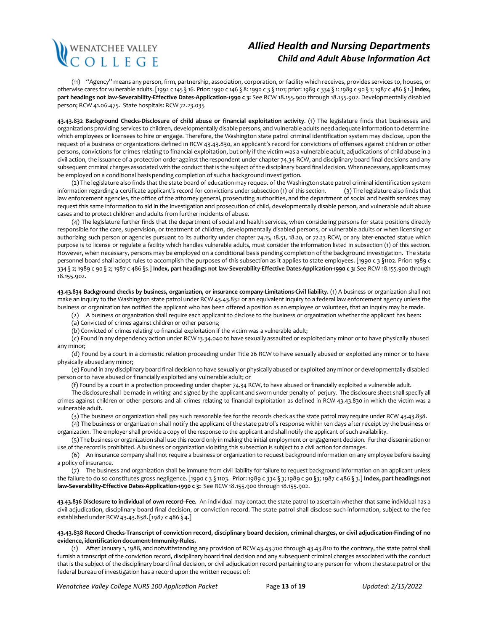# WENATCHEE VALLEY<br>C O L L E G E

## *Allied Health and Nursing Departments Child and Adult Abuse Information Act*

(11) "Agency" means any person, firm, partnership, association, corporation, or facility which receives, provides services to, houses, or otherwise cares for vulnerable adults. [1992 c 145 § 16. Prior: 1990 c 146 § 8: 1990 c 3 § 1101; prior: 1989 c 334 § 1: 1989 c 90 § 1; 1987 c 486 § 1.] **Index, part headings not law-Severability-Effective Dates-Application-1990 c 3:** See RCW 18.155.900 through 18.155.902. Developmentally disabled person; RCW 41.06.475. State hospitals: RCW 72.23.035

**43.43.832 Background Checks-Disclosure of child abuse or financial exploitation activity**. (1) The legislature finds that businesses and organizations providing services to children, developmentally disable persons, and vulnerable adults need adequate information to determine which employees or licensees to hire or engage. Therefore, the Washington state patrol criminal identification system may disclose, upon the request of a business or organizations defined in RCW 43.43.830, an applicant's record for convictions of offenses against children or other persons, convictions for crimes relating to financial exploitation, but only if the victim was a vulnerable adult, adjudications of child abuse in a civil action, the issuance of a protection order against the respondent under chapter 74.34 RCW, and disciplinary board final decisions and any subsequent criminal charges associated with the conduct that is the subject of the disciplinary board final decision. When necessary, applicants may be employed on a conditional basis pending completion of such a background investigation.

(2) The legislature also finds that the state board of education may request of the Washington state patrol criminal identification system information regarding a certificate applicant's record for convictions under subsection (1) of this section. (3) The legislature also finds that law enforcement agencies, the office of the attorney general, prosecuting authorities, and the department of social and health services may request this same information to aid in the investigation and prosecution of child, developmentally disable person, and vulnerable adult abuse cases and to protect children and adults from further incidents of abuse.

(4) The legislature further finds that the department of social and health services, when considering persons for state positions directly responsible for the care, supervision, or treatment of children, developmentally disabled persons, or vulnerable adults or when licensing or authorizing such person or agencies pursuant to its authority under chapter 74.15, 18.51, 18.20, or 72.23 RCW, or any later-enacted statue which purpose is to license or regulate a facility which handles vulnerable adults, must consider the information listed in subsection (1) of this section. However, when necessary, persons may be employed on a conditional basis pending completion of the background investigation. The state personnel board shall adopt rules to accomplish the purposes of this subsection as it applies to state employees. [1990 c 3 §1102. Prior: 1989 c 334 § 2; 1989 c 90 § 2; 1987 c 486 §s.] **Index, part headings not law-Severability-Effective Dates-Application-1990 c 3:** See RCW 18.155.900 through 18.155.902.

**43.43.834 Background checks by business, organization, or insurance company-Limitations-Civil liability.** (1) A business or organization shall not make an inquiry to the Washington state patrol under RCW 43.43.832 or an equivalent inquiry to a federal law enforcement agency unless the business or organization has notified the applicant who has been offered a position as an employee or volunteer, that an inquiry may be made.

(2) A business or organization shall require each applicant to disclose to the business or organization whether the applicant has been:

(a) Convicted of crimes against children or other persons;

(b) Convicted of crimes relating to financial exploitation if the victim was a vulnerable adult;

(c) Found in any dependency action under RCW 13.34.040 to have sexually assaulted or exploited any minor or to have physically abused any minor;

(d) Found by a court in a domestic relation proceeding under Title 26 RCW to have sexually abused or exploited any minor or to have physically abused any minor;

(e) Found in any disciplinary board final decision to have sexually or physically abused or exploited any minor or developmentally disabled person or to have abused or financially exploited any vulnerable adult; or

(f) Found by a court in a protection proceeding under chapter 74.34 RCW, to have abused or financially exploited a vulnerable adult.

The disclosure shall be made in writing and signed by the applicant and sworn under penalty of perjury. The disclosure sheet shall specify all crimes against children or other persons and all crimes relating to financial exploitation as defined in RCW 43.43.830 in which the victim was a vulnerable adult.

(3) The business or organization shall pay such reasonable fee for the records check as the state patrol may require under RCW 43.43.838.

(4) The business or organization shall notify the applicant of the state patrol's response within ten days after receipt by the business or organization. The employer shall provide a copy of the response to the applicant and shall notify the applicant of such availability.

(5) The business or organization shall use this record only in making the initial employment or engagement decision. Further dissemination or use of the record is prohibited. A business or organization violating this subsection is subject to a civil action for damages.

(6) An insurance company shall not require a business or organization to request background information on any employee before issuing a policy of insurance.

(7) The business and organization shall be immune from civil liability for failure to request background information on an applicant unless the failure to do so constitutes gross negligence. [1990 c 3 § 1103. Prior:1989 c 334 § 3; 1989 c 90 §3; 1987 c 486 § 3.] **Index, part headings not law-Severability-Effective Dates-Application-1990 c 3:** See RCW 18.155.900 through 18.155.902.

**43.43.836 Disclosure to individual of own record--Fee.** An individual may contact the state patrol to ascertain whether that same individual has a civil adjudication, disciplinary board final decision, or conviction record. The state patrol shall disclose such information, subject to the fee established under RCW 43.43.838.[1987 c 486 § 4.]

#### **43.43.838 Record Checks-Transcript of conviction record, disciplinary board decision, criminal charges, or civil adjudication-Finding of no evidence, identification document-Immunity-Rules.**

(1) After January 1, 1988, and notwithstanding any provision of RCW 43.43.700 through 43.43.810 to the contrary, the state patrol shall furnish a transcript of the conviction record, disciplinary board final decision and any subsequent criminal charges associated with the conduct thatis the subject of the disciplinary board final decision, or civil adjudication record pertaining to any person for whom the state patrol or the federal bureau of investigation has a record upon the written request of: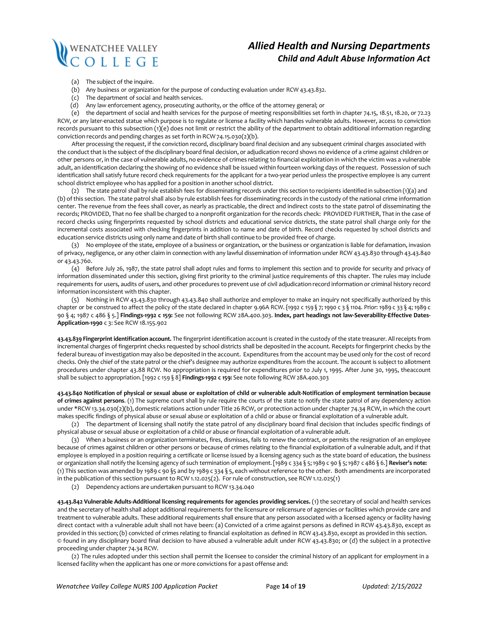

## *Allied Health and Nursing Departments Child and Adult Abuse Information Act*

- (a) The subject of the inquire.
- (b) Any business or organization for the purpose of conducting evaluation under RCW 43.43.832.
- (c) The department of social and health services.
- (d) Any law enforcement agency, prosecuting authority, or the office of the attorney general; or

(e) the department of social and health services for the purpose of meeting responsibilities set forth in chapter 74.15, 18.51, 18.20, or 72.23 RCW, or any later-enacted statue which purpose is to regulate or license a facility which handles vulnerable adults. However, access to conviction records pursuant to this subsection (1)(e) does not limit or restrict the ability of the department to obtain additional information regarding conviction records and pending charges as set forth in RCW74.15.030(2)(b).

After processing the request, if the conviction record, disciplinary board final decision and any subsequent criminal charges associated with the conduct that is the subject of the disciplinary board final decision, or adjudication record shows no evidence of a crime against children or other persons or, in the case of vulnerable adults, no evidence of crimes relating to financial exploitation in which the victim was a vulnerable adult, an identification declaring the showing of no evidence shall be issued within fourteen working days of the request. Possession of such identification shall satisfy future record check requirements for the applicant for a two-year period unless the prospective employee is any current school district employee who has applied for a position in another school district.

(2) The state patrol shall by rule establish fees for disseminating records under this section to recipients identified in subsection (1)(a) and (b) ofthis section. The state patrol shall also by rule establish fees for disseminating records in the custody of the national crime information center. The revenue from the fees shall cover, as nearly as practicable, the direct and indirect costs to the state patrol of disseminating the records; PROVIDED, That no fee shall be charged to a nonprofit organization for the records check: PROVIDED FURTHER, Thatin the case of record checks using fingerprints requested by school districts and educational service districts, the state patrol shall charge only for the incremental costs associated with checking fingerprints in addition to name and date of birth. Record checks requested by school districts and education service districts using only name and date of birth shall continue to be provided free of charge.

(3) No employee of the state, employee of a business or organization, or the business or organization is liable for defamation, invasion of privacy, negligence, or any other claim in connection with any lawful dissemination of information under RCW 43.43.830 through 43.43.840 or 43.43.760.

(4) Before July 26, 1987, the state patrol shall adopt rules and forms to implement this section and to provide for security and privacy of information disseminated under this section, giving first priority to the criminal justice requirements of this chapter. The rules may include requirements for users, audits of users, and other procedures to prevent use of civil adjudication record information or criminal history record information inconsistent with this chapter.

(5) Nothing in RCW 43.43.830 through 43.43.840 shall authorize and employer to make an inquiry not specifically authorized by this chapter or be construed to affect the policy of the state declared in chapter 9.96A RCW. {1992 c 159 § 7; 1990 c 3 § 1104. Prior: 1989 c 33 § 4; 1989 c 90 § 4; 1987 c 486 § 5.] **Findings-1992 c 159:** See not following RCW 28A.400.303. **Index, part headings not law-Severability-Effective Dates-Application-1990** c 3: See RCW 18.155.902

**43.43.839 Fingerprint identification account.** The fingerprint identification account is created in the custody of the state treasurer. All receipts from incremental charges of fingerprint checks requested by school districts shall be deposited in the account. Receipts for fingerprint checks by the federal bureau of investigation may also be deposited in the account. Expenditures from the account may be used only for the cost of record checks. Only the chief of the state patrol or the chief's designee may authorize expenditures from the account. The account is subject to allotment procedures under chapter 43.88 RCW. No appropriation is required for expenditures prior to July 1, 1995. After June 30, 1995, theaccount shall be subject to appropriation. [1992 c 159 § 8] **Findings-1992 c 159:** See note following RCW 28A.400.303

43.43.840 Notification of physical or sexual abuse or exploitation of child or vulnerable adult-Notification of employment termination because **of crimes against persons**. (1) The supreme court shall by rule require the courts of the state to notify the state patrol of any dependency action under \*RCW 13.34.030(2)(b), domestic relations action under Title 26 RCW, or protection action under chapter 74.34 RCW, in which the court makes specific findings of physical abuse or sexual abuse or exploitation of a child or abuse or financial exploitation of a vulnerable adult.

(2) The department of licensing shall notify the state patrol of any disciplinary board final decision that includes specific findings of physical abuse or sexual abuse or exploitation of a child or abuse orfinancial exploitation of a vulnerable adult.

(3) When a business or an organization terminates, fires, dismisses, fails to renew the contract, or permits the resignation of an employee because of crimes against children or other persons or because of crimes relating to the financial exploitation of a vulnerable adult, and if that employee is employed in a position requiring a certificate or license issued by a licensing agency such as the state board of education, the business or organization shall notify the licensing agency of such termination of employment.[1989 c 334 § 5;1989 c 90 § 5;1987 c 486 § 6.] **Reviser's note:** (1) This section was amended by 1989 c 90 §5 and by 1989 c 334 § 5, each without reference to the other. Both amendments are incorporated in the publication of this section pursuant to RCW 1.12.025(2). For rule of construction, see RCW 1.12.025(1)

(2) Dependency actions are undertaken pursuant to RCW 13.34.040

**43.43.842 Vulnerable Adults-Additional licensing requirements for agencies providing services.** (1) the secretary of social and health services and the secretary of health shall adopt additional requirements for the licensure or relicensure of agencies or facilities which provide care and treatment to vulnerable adults. These additional requirements shall ensure that any person associated with a licensed agency or facility having direct contact with a vulnerable adult shall not have been: (a) Convicted of a crime against persons as defined in RCW 43.43.830, except as provided in this section;(b) convicted of crimes relating to financial exploitation as defined in RCW 43.43.830, except as provided in this section. © found in any disciplinary board final decision to have abused a vulnerable adult under RCW 43.43.830; or (d) the subject in a protective proceeding under chapter 74.34 RCW.

(2) The rules adopted under this section shall permit the licensee to consider the criminal history of an applicant for employment in a licensed facility when the applicant has one or more convictions for a past offense and: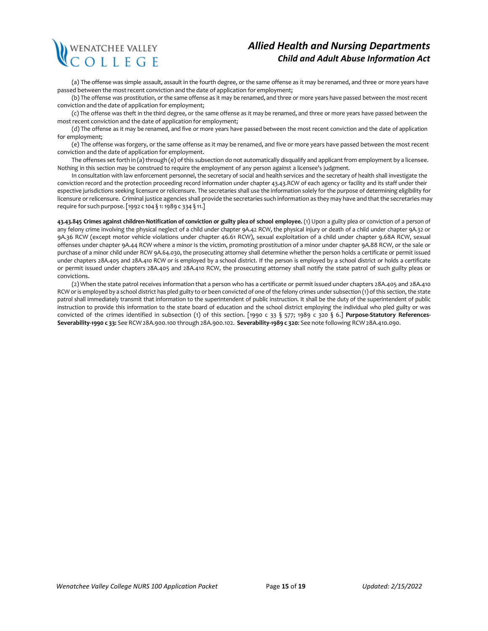# WENATCHEE VALLEY<br>C O L L E G E

## *Allied Health and Nursing Departments Child and Adult Abuse Information Act*

(a) The offense was simple assault, assault in the fourth degree, or the same offense as it may be renamed, and three or more years have passed between the mostrecent conviction and the date of application for employment;

(b) The offense was prostitution, or the same offense as it may be renamed, and three or more years have passed between the most recent conviction and the date of application for employment;

(c) The offense was theft in the third degree, or the same offense as it may be renamed, and three or more years have passed between the mostrecent conviction and the date of application for employment;

(d) The offense as it may be renamed, and five or more years have passed between the most recent conviction and the date of application for employment;

(e) The offense was forgery, or the same offense as it may be renamed, and five or more years have passed between the most recent conviction and the date of application for employment.

The offenses set forth in (a) through (e) of this subsection do not automatically disqualify and applicant from employment by a licensee. Nothing in this section may be construed to require the employment of any person against a licensee's judgment.

In consultation with law enforcement personnel, the secretary of social and health services and the secretary of health shall investigate the conviction record and the protection proceeding record information under chapter 43.43.RCW of each agency or facility and its staff under their espective jurisdictions seeking licensure or relicensure. The secretaries shall use the information solely for the purpose of determining eligibility for licensure or relicensure. Criminal justice agencies shall provide the secretaries such information as they may have and that the secretaries may require for such purpose.[1992 c 104 § 1: 1989 c 334 § 11.]

43.43.845 Crimes against children-Notification of conviction or guilty plea of school employee. (1) Upon a guilty plea or conviction of a person of any felony crime involving the physical neglect of a child under chapter 9A.42 RCW, the physical injury or death of a child under chapter 9A.32 or 9A.36 RCW (except motor vehicle violations under chapter 46.61 RCW), sexual exploitation of a child under chapter 9.68A RCW, sexual offenses under chapter 9A.44 RCW where a minor is the victim, promoting prostitution of a minor under chapter 9A.88 RCW, or the sale or purchase of a minor child under RCW 9A.64.030, the prosecuting attorney shall determine whether the person holds a certificate or permit issued under chapters 28A.405 and 28A.410 RCW or is employed by a school district. If the person is employed by a school district or holds a certificate or permit issued under chapters 28A.405 and 28A.410 RCW, the prosecuting attorney shall notify the state patrol of such guilty pleas or convictions.

(2) When the state patrol receives information that a person who has a certificate or permit issued under chapters 28A.405 and 28A.410 RCW or is employed by a school district has pled guilty to or been convicted of one of the felony crimes under subsection (1) of this section, the state patrol shall immediately transmit that information to the superintendent of public instruction. It shall be the duty of the superintendent of public instruction to provide this information to the state board of education and the school district employing the individual who pled guilty or was convicted of the crimes identified in subsection (1) of this section. [1990 c 33 § 577; 1989 c 320 § 6.] **Purpose-Statutory References-Severability-1990 c 33:** See RCW 28A.900.100 through 28A.900.102. **Severability-1989 c 320**: See note following RCW 28A.410.090.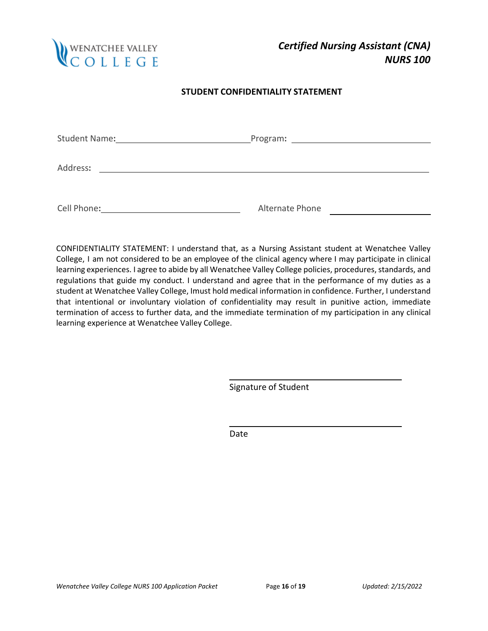

## **STUDENT CONFIDENTIALITY STATEMENT**

| <b>Student Name:</b> | Program:<br><u> 1989 - John Harry Harry Harry Harry Harry Harry Harry Harry Harry Harry Harry Harry Harry Harry Harry Harry H</u> |  |  |  |
|----------------------|-----------------------------------------------------------------------------------------------------------------------------------|--|--|--|
|                      |                                                                                                                                   |  |  |  |
| Address:             |                                                                                                                                   |  |  |  |
|                      |                                                                                                                                   |  |  |  |
| Cell Phone:          | Alternate Phone                                                                                                                   |  |  |  |

CONFIDENTIALITY STATEMENT: I understand that, as a Nursing Assistant student at Wenatchee Valley College, I am not considered to be an employee of the clinical agency where I may participate in clinical learning experiences. I agree to abide by all Wenatchee Valley College policies, procedures, standards, and regulations that guide my conduct. I understand and agree that in the performance of my duties as a student at Wenatchee Valley College, Imust hold medical information in confidence. Further, I understand that intentional or involuntary violation of confidentiality may result in punitive action, immediate termination of access to further data, and the immediate termination of my participation in any clinical learning experience at Wenatchee Valley College.

Signature of Student

Date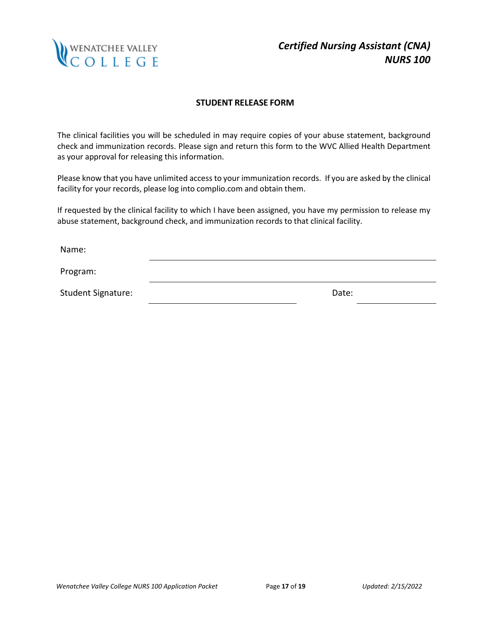

## **STUDENT RELEASE FORM**

The clinical facilities you will be scheduled in may require copies of your abuse statement, background check and immunization records. Please sign and return this form to the WVC Allied Health Department as your approval for releasing this information.

Please know that you have unlimited access to your immunization records. If you are asked by the clinical facility for your records, please log into complio.com and obtain them.

If requested by the clinical facility to which I have been assigned, you have my permission to release my abuse statement, background check, and immunization records to that clinical facility.

Name: Program: Student Signature: Note and Student Signature: Note and Student Signature and Date: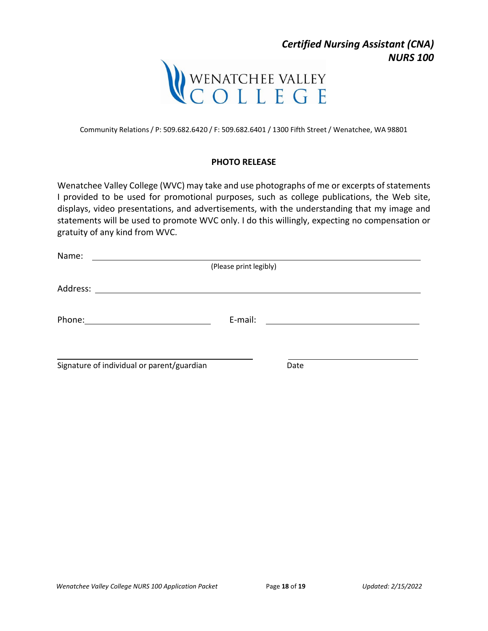

Community Relations/ P: 509.682.6420 / F: 509.682.6401 / 1300 Fifth Street / Wenatchee, WA 98801

## **PHOTO RELEASE**

Wenatchee Valley College (WVC) may take and use photographs of me or excerpts of statements I provided to be used for promotional purposes, such as college publications, the Web site, displays, video presentations, and advertisements, with the understanding that my image and statements will be used to promote WVC only. I do this willingly, expecting no compensation or gratuity of any kind from WVC.

| Name:                                      |                        |      |  |
|--------------------------------------------|------------------------|------|--|
|                                            | (Please print legibly) |      |  |
|                                            |                        |      |  |
|                                            |                        |      |  |
|                                            | E-mail:                |      |  |
|                                            |                        |      |  |
|                                            |                        |      |  |
| Signature of individual or parent/guardian |                        | Date |  |

*NURS 100*